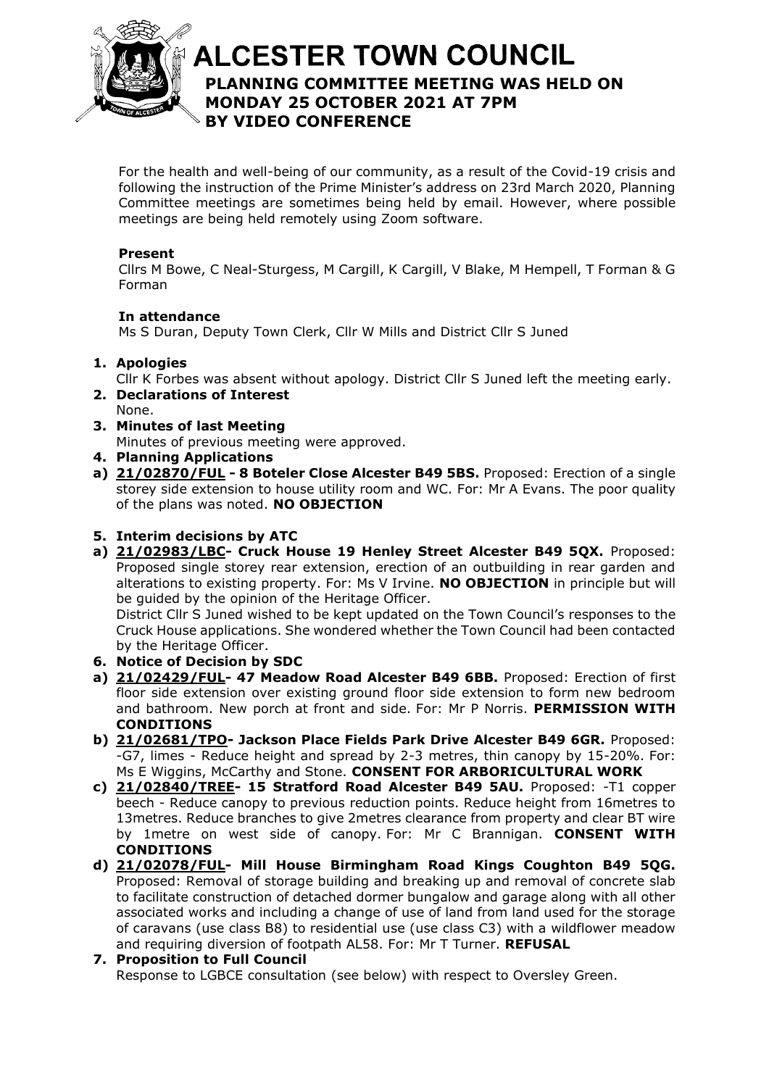

# **ALCESTER TOWN COUNCIL PLANNING COMMITTEE MEETING WAS HELD ON**  At the discretion of the Chair **MONDAY 25 OCTOBER 2021 AT 7PM BY VIDEO CONFERENCE**

For the health and well-being of our community, as a result of the Covid-19 crisis and following the instruction of the Prime Minister's address on 23rd March 2020, Planning Committee meetings are sometimes being held by email. However, where possible meetings are being held remotely using Zoom software.

#### **Present**

Cllrs M Bowe, C Neal-Sturgess, M Cargill, K Cargill, V Blake, M Hempell, T Forman & G Forman

### **In attendance**

Ms S Duran, Deputy Town Clerk, Cllr W Mills and District Cllr S Juned

### **1. Apologies**

- Cllr K Forbes was absent without apology. District Cllr S Juned left the meeting early.
- **2. Declarations of Interest**
- None. **3. Minutes of last Meeting**

Minutes of previous meeting were approved.

- **4. Planning Applications**
- **a) [21/02870/FUL](https://apps.stratford.gov.uk/eplanning/AppDetail.aspx?appkey=QZ2EWHPMM0Q00) - 8 Boteler Close Alcester B49 5BS.** Proposed: Erection of a single storey side extension to house utility room and WC. For: Mr A Evans. The poor quality of the plans was noted. **NO OBJECTION**

## **5. Interim decisions by ATC**

**a) [21/02983/LBC-](https://apps.stratford.gov.uk/eplanning/AppDetail.aspx?appkey=QZIXA5PMHZZ00) Cruck House 19 Henley Street Alcester B49 5QX.** Proposed: Proposed single storey rear extension, erection of an outbuilding in rear garden and alterations to existing property. For: Ms V Irvine. **NO OBJECTION** in principle but will be guided by the opinion of the Heritage Officer.

District Cllr S Juned wished to be kept updated on the Town Council's responses to the Cruck House applications. She wondered whether the Town Council had been contacted by the Heritage Officer.

- **6. Notice of Decision by SDC**
- **a) [21/02429/FUL-](https://apps.stratford.gov.uk/eplanning/AppDetail.aspx?appkey=QWY6EFPMMR100) 47 Meadow Road Alcester B49 6BB.** Proposed: Erection of first floor side extension over existing ground floor side extension to form new bedroom and bathroom. New porch at front and side. For: Mr P Norris. **PERMISSION WITH CONDITIONS**
- **b) [21/02681/TPO-](https://apps.stratford.gov.uk/eplanning/AppDetail.aspx?appkey=QY2Z8TPM0GO00) Jackson Place Fields Park Drive Alcester B49 6GR.** Proposed: -G7, limes - Reduce height and spread by 2-3 metres, thin canopy by 15-20%. For: Ms E Wiggins, McCarthy and Stone. **CONSENT FOR ARBORICULTURAL WORK**
- **c) [21/02840/TREE-](https://apps.stratford.gov.uk/eplanning/AppDetail.aspx?appkey=QZ03HIPML8900) 15 Stratford Road Alcester B49 5AU.** Proposed: -T1 copper beech - Reduce canopy to previous reduction points. Reduce height from 16metres to 13metres. Reduce branches to give 2metres clearance from property and clear BT wire by 1metre on west side of canopy. For: Mr C Brannigan. **CONSENT WITH CONDITIONS**
- **d) [21/02078/FUL-](https://apps.stratford.gov.uk/eplanning/AppDetail.aspx?appkey=QV7O19PMK4G00) Mill House Birmingham Road Kings Coughton B49 5QG.** Proposed: Removal of storage building and breaking up and removal of concrete slab to facilitate construction of detached dormer bungalow and garage along with all other associated works and including a change of use of land from land used for the storage of caravans (use class B8) to residential use (use class C3) with a wildflower meadow and requiring diversion of footpath AL58. For: Mr T Turner. **REFUSAL**

**7. Proposition to Full Council** Response to LGBCE consultation (see below) with respect to Oversley Green.